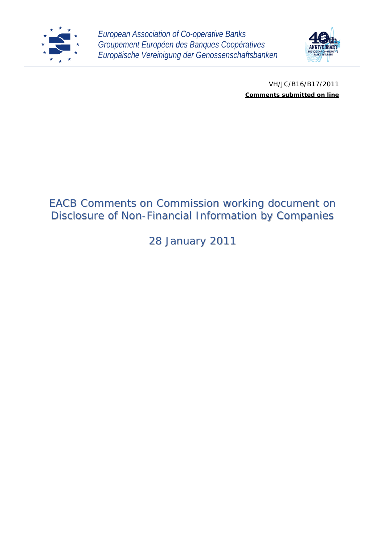

*European Association of Co-operative Banks Groupement Européen des Banques Coopératives Europäische Vereinigung der Genossenschaftsbanken*



VH/JC/B16/B17/2011 *Comments submitted on line*

# EACB Comments on Commission working document on Disclosure of Non-Financial Information by Companies

28 January 2011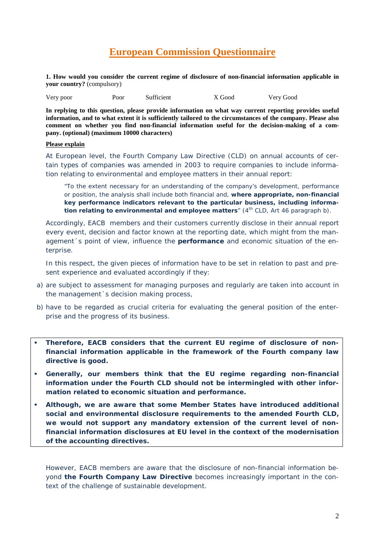## **European Commission Questionnaire**

**1. How would you consider the current regime of disclosure of non-financial information applicable in your country?** (compulsory)

| Very poor | Poor | Sufficient | X Good | Very Good |
|-----------|------|------------|--------|-----------|
|-----------|------|------------|--------|-----------|

**In replying to this question, please provide information on what way current reporting provides useful information, and to what extent it is sufficiently tailored to the circumstances of the company. Please also comment on whether you find non-financial information useful for the decision-making of a company. (optional) (maximum 10000 characters)**

## **Please explain**

At European level, the Fourth Company Law Directive (CLD) on annual accounts of certain types of companies was amended in 2003 to require companies to include information relating to environmental and employee matters in their annual report:

"*To the extent necessary for an understanding of the company's development, performance or position, the analysis shall include both financial and, where appropriate, non-financial key performance indicators relevant to the particular business, including information relating to environmental and employee matters*" (4<sup>th</sup> CLD, Art 46 paragraph b).

Accordingly, EACB members and their customers currently disclose in their annual report every event, decision and factor known at the reporting date, which might from the management´s point of view, influence the **performance** and economic situation of the enterprise.

In this respect, the given pieces of information have to be set in relation to past and present experience and evaluated accordingly if they:

- a) are subject to assessment for managing purposes and regularly are taken into account in the management´s decision making process,
- b) have to be regarded as crucial criteria for evaluating the general position of the enterprise and the progress of its business.
- **Therefore, EACB considers that the current EU regime of disclosure of nonfinancial information applicable in the framework of the Fourth company law directive is good.**
- **Generally, our members think that the EU regime regarding non-financial information under the Fourth CLD should not be intermingled with other information related to economic situation and performance.**
- **Although, we are aware that some Member States have introduced additional social and environmental disclosure requirements to the amended Fourth CLD, we would not support any mandatory extension of the current level of nonfinancial information disclosures at EU level in the context of the modernisation of the accounting directives.**

However, EACB members are aware that the disclosure of non-financial information beyond **the Fourth Company Law Directive** becomes increasingly important in the context of the challenge of sustainable development.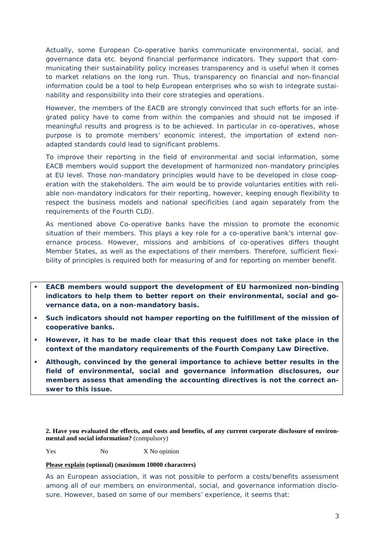Actually, some European Co-operative banks communicate environmental, social, and governance data etc. beyond financial performance indicators. They support that communicating their sustainability policy increases transparency and is useful when it comes to market relations on the long run. Thus, transparency on financial and non-financial information could be a tool to help European enterprises who so wish to integrate sustainability and responsibility into their core strategies and operations.

However, the members of the EACB are strongly convinced that such efforts for an integrated policy have to come from within the companies and should not be imposed if meaningful results and progress is to be achieved. In particular in co-operatives, whose purpose is to promote members' economic interest, the importation of extend nonadapted standards could lead to significant problems.

To improve their reporting in the field of environmental and social information, some EACB members would support the development of harmonized non-mandatory principles at EU level. Those non-mandatory principles would have to be developed in close cooperation with the stakeholders. The aim would be to provide voluntaries entities with reliable non-mandatory indicators for their reporting, however, keeping enough flexibility to respect the business models and national specificities (and again separately from the requirements of the Fourth CLD).

As mentioned above Co-operative banks have the mission to promote the economic situation of their members. This plays a key role for a co-operative bank's internal governance process. However, missions and ambitions of co-operatives differs thought Member States, as well as the expectations of their members. Therefore, sufficient flexibility of principles is required both for measuring of and for reporting on member benefit.

- **EACB members would support the development of EU harmonized non-binding indicators to help them to better report on their environmental, social and governance data, on a non-mandatory basis.**
- **Such indicators should not hamper reporting on the fulfillment of the mission of cooperative banks.**
- **However, it has to be made clear that this request does not take place in the context of the mandatory requirements of the Fourth Company Law Directive.**
- **Although, convinced by the general importance to achieve better results in the field of environmental, social and governance information disclosures, our members assess that amending the accounting directives is not the correct answer to this issue.**

**2. Have you evaluated the effects, and costs and benefits, of any current corporate disclosure of environmental and social information?** (compulsory)

Yes No No X No opinion

#### **Please explain (optional) (maximum 10000 characters)**

As an European association, it was not possible to perform a costs/benefits assessment among all of our members on environmental, social, and governance information disclosure. However, based on some of our members' experience, it seems that: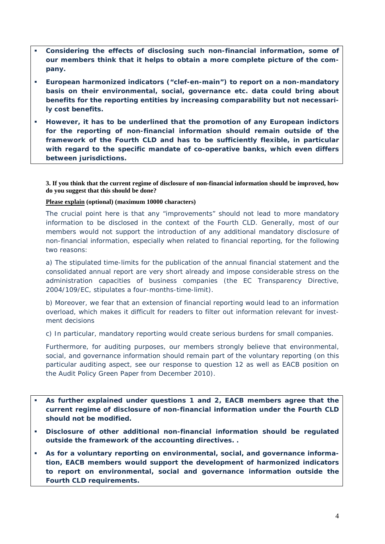- **Considering the effects of disclosing such non-financial information, some of our members think that it helps to obtain a more complete picture of the company.**
- **European harmonized indicators ("clef-en-main") to report on a non-mandatory basis on their environmental, social, governance etc. data could bring about benefits for the reporting entities by increasing comparability but not necessarily cost benefits.**
- **However, it has to be underlined that the promotion of any European indictors for the reporting of non-financial information should remain outside of the framework of the Fourth CLD and has to be sufficiently flexible, in particular with regard to the specific mandate of co-operative banks, which even differs between jurisdictions.**

**3. If you think that the current regime of disclosure of non-financial information should be improved, how do you suggest that this should be done?**

**Please explain (optional) (maximum 10000 characters)** 

The crucial point here is that any "improvements" should not lead to more mandatory information to be disclosed in the context of the Fourth CLD. Generally, most of our members would not support the introduction of any additional mandatory disclosure of non-financial information, especially when related to financial reporting, for the following two reasons:

a) The stipulated time-limits for the publication of the annual financial statement and the consolidated annual report are very short already and impose considerable stress on the administration capacities of business companies (the EC Transparency Directive, 2004/109/EC, stipulates a four-months-time-limit).

b) Moreover, we fear that an extension of financial reporting would lead to an information overload, which makes it difficult for readers to filter out information relevant for investment decisions

c) In particular, mandatory reporting would create serious burdens for small companies.

Furthermore, for auditing purposes, our members strongly believe that environmental, social, and governance information should remain part of the voluntary reporting (on this particular auditing aspect, see our response to question 12 as well as EACB position on the Audit Policy Green Paper from December 2010).

- **As further explained under questions 1 and 2, EACB members agree that the current regime of disclosure of non-financial information under the Fourth CLD should not be modified.**
- **Disclosure of other additional non-financial information should be regulated outside the framework of the accounting directives. .**
- **As for a voluntary reporting on environmental, social, and governance information, EACB members would support the development of harmonized indicators to report on environmental, social and governance information outside the Fourth CLD requirements.**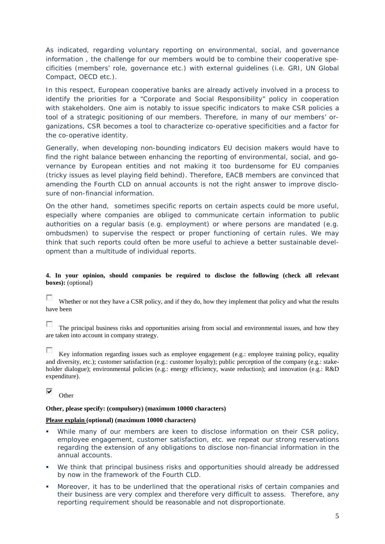As indicated, regarding voluntary reporting on environmental, social, and governance information , the challenge for our members would be to combine their cooperative specificities (members' role, governance etc.) with external guidelines (i.e. GRI, UN Global Compact, OECD etc.).

In this respect, European cooperative banks are already actively involved in a process to identify the priorities for a "Corporate and Social Responsibility" policy in cooperation with stakeholders. One aim is notably to issue specific indicators to make CSR policies a tool of a strategic positioning of our members. Therefore, in many of our members' organizations, CSR becomes a tool to characterize co-operative specificities and a factor for the co-operative identity.

Generally, when developing non-bounding indicators EU decision makers would have to find the right balance between enhancing the reporting of environmental, social, and governance by European entities and not making it too burdensome for EU companies (tricky issues as level playing field behind). Therefore, EACB members are convinced that amending the Fourth CLD on annual accounts is not the right answer to improve disclosure of non-financial information.

On the other hand, sometimes specific reports on certain aspects could be more useful, especially where companies are obliged to communicate certain information to public authorities on a regular basis (e.g. employment) or where persons are mandated (e.g. ombudsmen) to supervise the respect or proper functioning of certain rules. We may think that such reports could often be more useful to achieve a better sustainable development than a multitude of individual reports.

## **4. In your opinion, should companies be required to disclose the following (check all relevant boxes):** (optional)

 $\mathcal{L}$ Whether or not they have a CSR policy, and if they do, how they implement that policy and what the results have been

 $\sim$ The principal business risks and opportunities arising from social and environmental issues, and how they are taken into account in company strategy.

п Key information regarding issues such as employee engagement (e.g.: employee training policy, equality and diversity, etc.); customer satisfaction (e.g.: customer loyalty); public perception of the company (e.g.: stakeholder dialogue); environmental policies (e.g.: energy efficiency, waste reduction); and innovation (e.g.: R&D expenditure).

⊽ **Other** 

#### **Other, please specify: (compulsory) (maximum 10000 characters)**

#### **Please explain (optional) (maximum 10000 characters)**

- While many of our members are keen to disclose information on their CSR policy, employee engagement, customer satisfaction, etc. we repeat our strong reservations regarding the extension of any obligations to disclose non-financial information in the annual accounts.
- We think that principal business risks and opportunities should already be addressed by now in the framework of the Fourth CLD.
- Moreover, it has to be underlined that the operational risks of certain companies and their business are very complex and therefore very difficult to assess. Therefore, any reporting requirement should be reasonable and not disproportionate.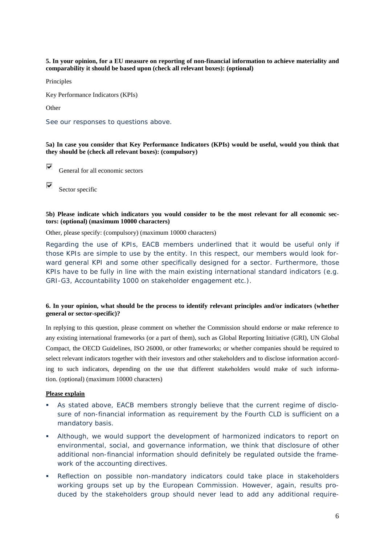**5. In your opinion, for a EU measure on reporting of non-financial information to achieve materiality and comparability it should be based upon (check all relevant boxes): (optional)** 

Principles

Key Performance Indicators (KPIs)

Other

See our responses to questions above.

**5a) In case you consider that Key Performance Indicators (KPIs) would be useful, would you think that they should be (check all relevant boxes): (compulsory)**

⊽ General for all economic sectors

⊽

Sector specific

#### **5b) Please indicate which indicators you would consider to be the most relevant for all economic sectors: (optional) (maximum 10000 characters)**

Other, please specify: (compulsory) (maximum 10000 characters)

Regarding the use of KPIs, EACB members underlined that it would be useful only if those KPIs are simple to use by the entity. In this respect, our members would look forward general KPI and some other specifically designed for a sector. Furthermore, those KPIs have to be fully in line with the main existing international standard indicators (e.g. GRI-G3, Accountability 1000 on stakeholder engagement etc.).

#### **6. In your opinion, what should be the process to identify relevant principles and/or indicators (whether general or sector-specific)?**

In replying to this question, please comment on whether the Commission should endorse or make reference to any existing international frameworks (or a part of them), such as Global Reporting Initiative (GRI), UN Global Compact, the OECD Guidelines, ISO 26000, or other frameworks; or whether companies should be required to select relevant indicators together with their investors and other stakeholders and to disclose information according to such indicators, depending on the use that different stakeholders would make of such information. (optional) (maximum 10000 characters)

#### **Please explain**

- As stated above, EACB members strongly believe that the current regime of disclosure of non-financial information as requirement by the Fourth CLD is sufficient on a mandatory basis.
- Although, we would support the development of harmonized indicators to report on environmental, social, and governance information, we think that disclosure of other additional non-financial information should definitely be regulated outside the framework of the accounting directives.
- Reflection on possible non-mandatory indicators could take place in stakeholders working groups set up by the European Commission. However, again, results produced by the stakeholders group should never lead to add any additional require-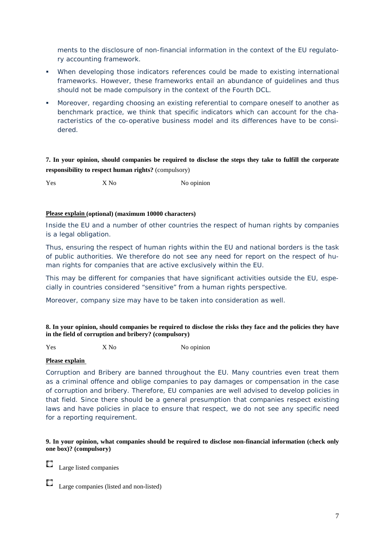ments to the disclosure of non-financial information in the context of the EU regulatory accounting framework.

- When developing those indicators references could be made to existing international frameworks. However, these frameworks entail an abundance of guidelines and thus should not be made compulsory in the context of the Fourth DCL.
- Moreover, regarding choosing an existing referential to compare oneself to another as benchmark practice, we think that specific indicators which can account for the characteristics of the co-operative business model and its differences have to be considered.

**7. In your opinion, should companies be required to disclose the steps they take to fulfill the corporate responsibility to respect human rights?** (compulsory)

Yes X No X No No opinion

## **Please explain (optional) (maximum 10000 characters)**

Inside the EU and a number of other countries the respect of human rights by companies is a legal obligation.

Thus, ensuring the respect of human rights within the EU and national borders is the task of public authorities. We therefore do not see any need for report on the respect of human rights for companies that are active exclusively within the EU.

This may be different for companies that have significant activities outside the EU, especially in countries considered "sensitive" from a human rights perspective.

Moreover, company size may have to be taken into consideration as well.

#### **8. In your opinion, should companies be required to disclose the risks they face and the policies they have in the field of corruption and bribery? (compulsory)**

Yes X No X No No opinion

## **Please explain**

Corruption and Bribery are banned throughout the EU. Many countries even treat them as a criminal offence and oblige companies to pay damages or compensation in the case of corruption and bribery. Therefore, EU companies are well advised to develop policies in that field. Since there should be a general presumption that companies respect existing laws and have policies in place to ensure that respect, we do not see any specific need for a reporting requirement.

**9. In your opinion, what companies should be required to disclose non-financial information (check only one box)? (compulsory)** 

Large listed companies

Large companies (listed and non-listed)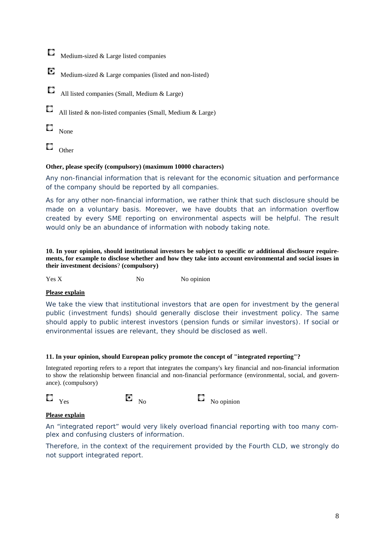- C. Medium-sized & Large listed companies
- C Medium-sized & Large companies (listed and non-listed)
- C All listed companies (Small, Medium & Large)
- С All listed & non-listed companies (Small, Medium & Large)
- O None
- C. **Other**

## **Other, please specify (compulsory) (maximum 10000 characters)**

Any non-financial information that is relevant for the economic situation and performance of the company should be reported by all companies.

As for any other non-financial information, we rather think that such disclosure should be made on a voluntary basis. Moreover, we have doubts that an information overflow created by every SME reporting on environmental aspects will be helpful. The result would only be an abundance of information with nobody taking note.

**10. In your opinion, should institutional investors be subject to specific or additional disclosure requirements, for example to disclose whether and how they take into account environmental and social issues in their investment decisions**? **(compulsory)** 

Yes X No No No opinion

## **Please explain**

We take the view that institutional investors that are open for investment by the general public (investment funds) should generally disclose their investment policy. The same should apply to public interest investors (pension funds or similar investors). If social or environmental issues are relevant, they should be disclosed as well.

## **11. In your opinion, should European policy promote the concept of "integrated reporting"?**

Integrated reporting refers to a report that integrates the company's key financial and non-financial information to show the relationship between financial and non-financial performance (environmental, social, and governance). (compulsory)



## **Please explain**

An "integrated report" would very likely overload financial reporting with too many complex and confusing clusters of information.

Therefore, in the context of the requirement provided by the Fourth CLD, we strongly do not support integrated report.